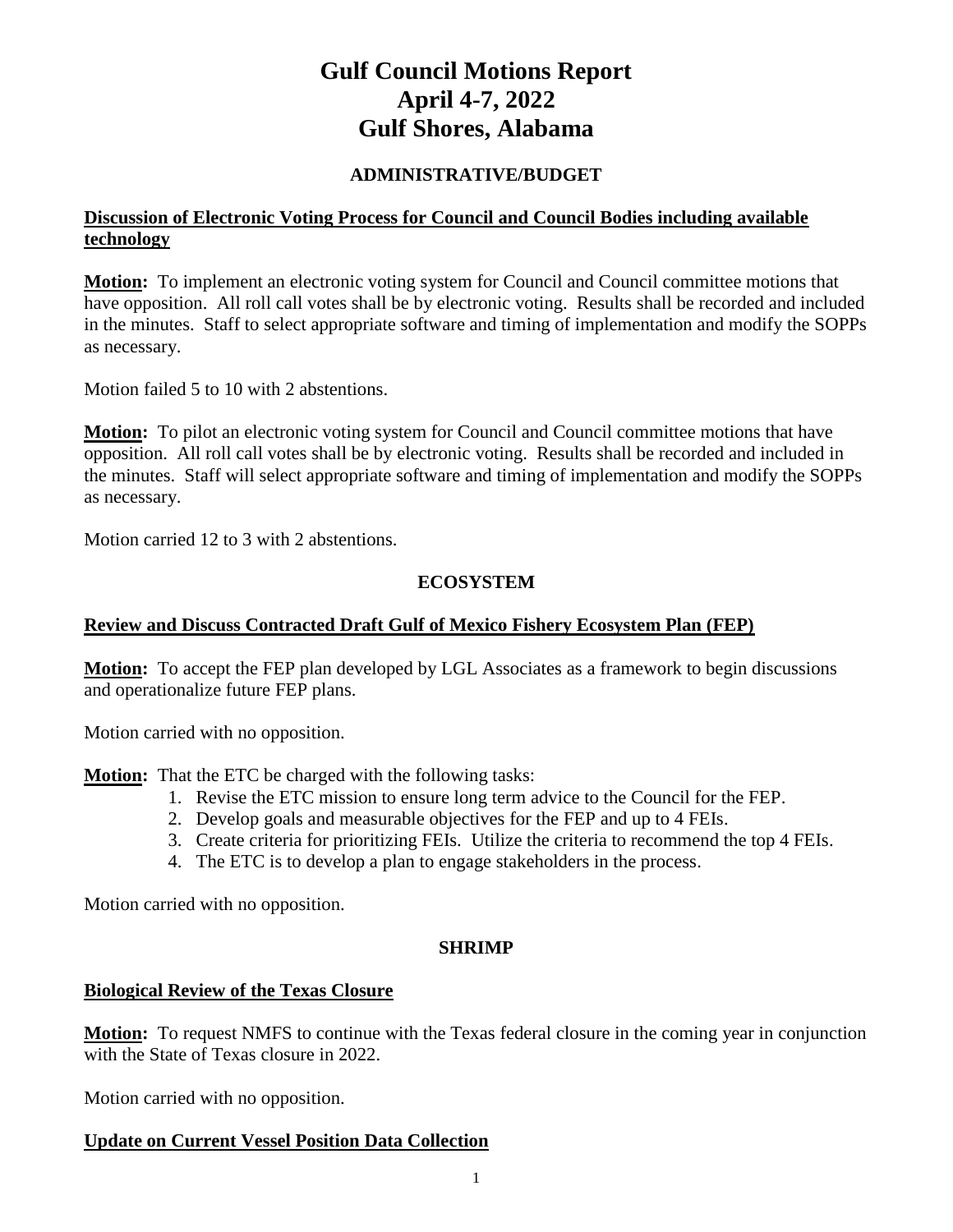# **Gulf Council Motions Report April 4-7, 2022 Gulf Shores, Alabama**

#### **ADMINISTRATIVE/BUDGET**

#### **Discussion of Electronic Voting Process for Council and Council Bodies including available technology**

**Motion:** To implement an electronic voting system for Council and Council committee motions that have opposition. All roll call votes shall be by electronic voting. Results shall be recorded and included in the minutes. Staff to select appropriate software and timing of implementation and modify the SOPPs as necessary.

Motion failed 5 to 10 with 2 abstentions.

**Motion:** To pilot an electronic voting system for Council and Council committee motions that have opposition. All roll call votes shall be by electronic voting. Results shall be recorded and included in the minutes. Staff will select appropriate software and timing of implementation and modify the SOPPs as necessary.

Motion carried 12 to 3 with 2 abstentions.

#### **ECOSYSTEM**

#### **Review and Discuss Contracted Draft Gulf of Mexico Fishery Ecosystem Plan (FEP)**

**Motion:** To accept the FEP plan developed by LGL Associates as a framework to begin discussions and operationalize future FEP plans.

Motion carried with no opposition.

**Motion:** That the ETC be charged with the following tasks:

- 1. Revise the ETC mission to ensure long term advice to the Council for the FEP.
- 2. Develop goals and measurable objectives for the FEP and up to 4 FEIs.
- 3. Create criteria for prioritizing FEIs. Utilize the criteria to recommend the top 4 FEIs.
- 4. The ETC is to develop a plan to engage stakeholders in the process.

Motion carried with no opposition.

#### **SHRIMP**

#### **Biological Review of the Texas Closure**

**Motion:** To request NMFS to continue with the Texas federal closure in the coming year in conjunction with the State of Texas closure in 2022.

Motion carried with no opposition.

#### **Update on Current Vessel Position Data Collection**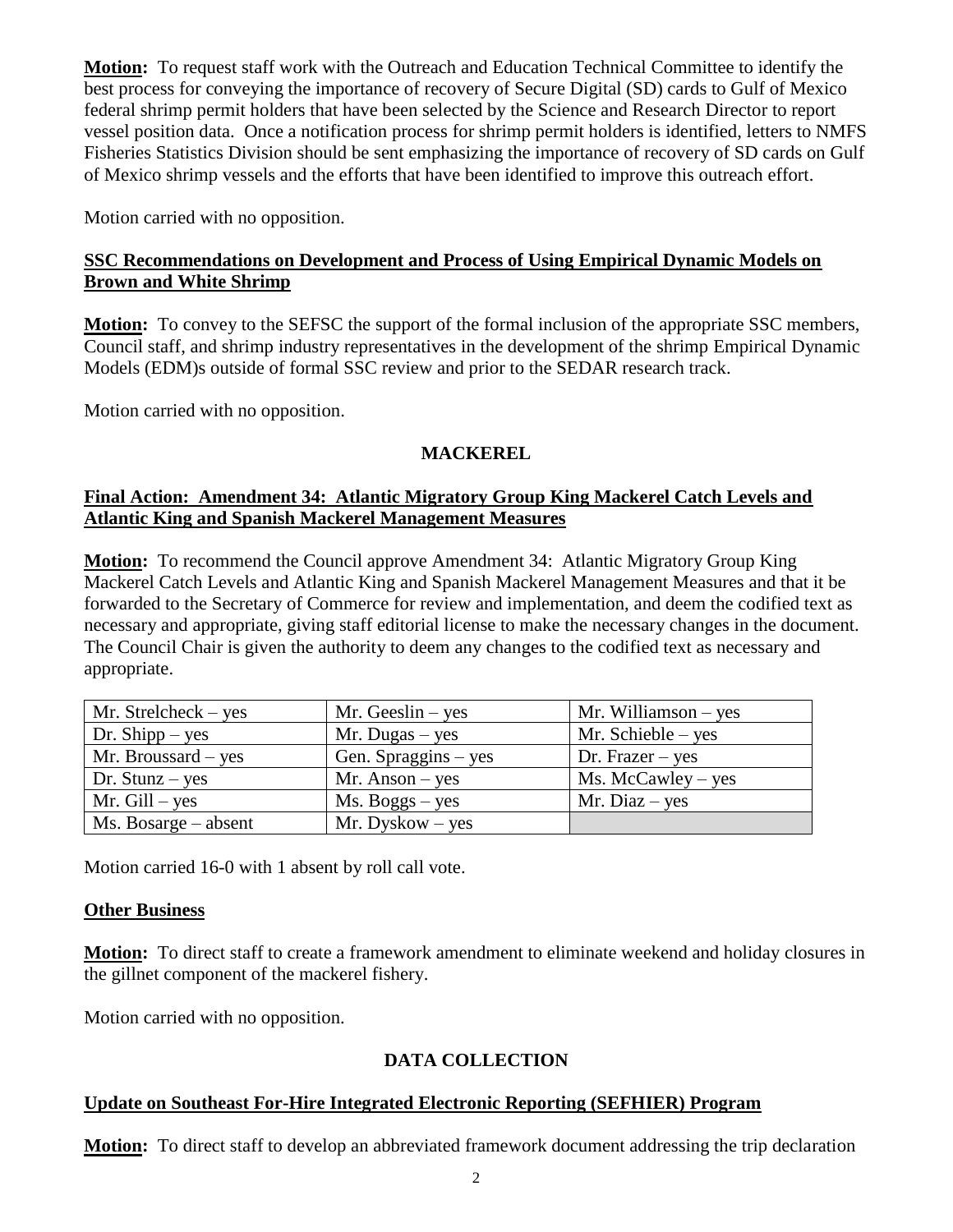**Motion:** To request staff work with the Outreach and Education Technical Committee to identify the best process for conveying the importance of recovery of Secure Digital (SD) cards to Gulf of Mexico federal shrimp permit holders that have been selected by the Science and Research Director to report vessel position data. Once a notification process for shrimp permit holders is identified, letters to NMFS Fisheries Statistics Division should be sent emphasizing the importance of recovery of SD cards on Gulf of Mexico shrimp vessels and the efforts that have been identified to improve this outreach effort.

Motion carried with no opposition.

# **SSC Recommendations on Development and Process of Using Empirical Dynamic Models on Brown and White Shrimp**

**Motion:** To convey to the SEFSC the support of the formal inclusion of the appropriate SSC members, Council staff, and shrimp industry representatives in the development of the shrimp Empirical Dynamic Models (EDM)s outside of formal SSC review and prior to the SEDAR research track.

Motion carried with no opposition.

# **MACKEREL**

# **Final Action: Amendment 34: Atlantic Migratory Group King Mackerel Catch Levels and Atlantic King and Spanish Mackerel Management Measures**

**Motion:** To recommend the Council approve Amendment 34: Atlantic Migratory Group King Mackerel Catch Levels and Atlantic King and Spanish Mackerel Management Measures and that it be forwarded to the Secretary of Commerce for review and implementation, and deem the codified text as necessary and appropriate, giving staff editorial license to make the necessary changes in the document. The Council Chair is given the authority to deem any changes to the codified text as necessary and appropriate.

| $Mr. Strelcheck - yes$    | Mr. Geeslin $-$ yes  | Mr. Williamson $-$ yes |
|---------------------------|----------------------|------------------------|
| Dr. Shipp $-$ yes         | $Mr. Dugas - yes$    | Mr. Schieble $-$ yes   |
| Mr. Broussard $-$ yes     | Gen. Spraggins – yes | Dr. Frazer $-$ yes     |
| Dr. Stunz $-$ yes         | $Mr.$ Anson – yes    | $Ms.$ McCawley – yes   |
| Mr. $Gill - yes$          | $Ms. Boggs - yes$    | Mr. Diaz $-$ yes       |
| $Ms. \, Bosarge - absent$ | $Mr. Dyskow - yes$   |                        |

Motion carried 16-0 with 1 absent by roll call vote.

# **Other Business**

**Motion:** To direct staff to create a framework amendment to eliminate weekend and holiday closures in the gillnet component of the mackerel fishery.

Motion carried with no opposition.

# **DATA COLLECTION**

# **Update on Southeast For-Hire Integrated Electronic Reporting (SEFHIER) Program**

**Motion:** To direct staff to develop an abbreviated framework document addressing the trip declaration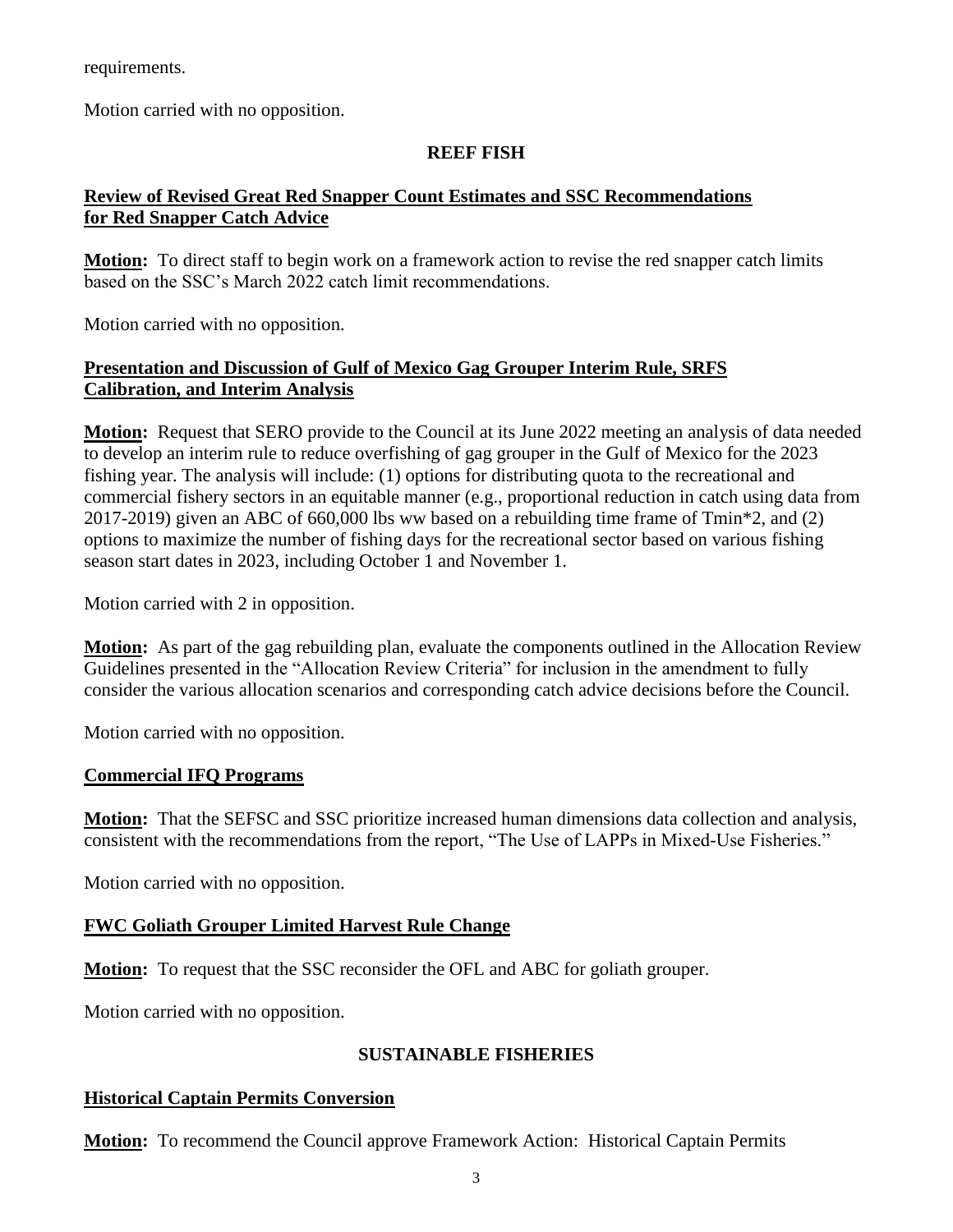requirements.

Motion carried with no opposition.

# **REEF FISH**

# **Review of Revised Great Red Snapper Count Estimates and SSC Recommendations for Red Snapper Catch Advice**

**Motion:** To direct staff to begin work on a framework action to revise the red snapper catch limits based on the SSC's March 2022 catch limit recommendations.

Motion carried with no opposition.

# **Presentation and Discussion of Gulf of Mexico Gag Grouper Interim Rule, SRFS Calibration, and Interim Analysis**

**Motion:** Request that SERO provide to the Council at its June 2022 meeting an analysis of data needed to develop an interim rule to reduce overfishing of gag grouper in the Gulf of Mexico for the 2023 fishing year. The analysis will include: (1) options for distributing quota to the recreational and commercial fishery sectors in an equitable manner (e.g., proportional reduction in catch using data from 2017-2019) given an ABC of 660,000 lbs ww based on a rebuilding time frame of Tmin\*2, and (2) options to maximize the number of fishing days for the recreational sector based on various fishing season start dates in 2023, including October 1 and November 1.

Motion carried with 2 in opposition.

**Motion:** As part of the gag rebuilding plan, evaluate the components outlined in the Allocation Review Guidelines presented in the "Allocation Review Criteria" for inclusion in the amendment to fully consider the various allocation scenarios and corresponding catch advice decisions before the Council.

Motion carried with no opposition.

# **Commercial IFQ Programs**

**Motion:** That the SEFSC and SSC prioritize increased human dimensions data collection and analysis, consistent with the recommendations from the report, "The Use of LAPPs in Mixed-Use Fisheries."

Motion carried with no opposition.

# **FWC Goliath Grouper Limited Harvest Rule Change**

**Motion:** To request that the SSC reconsider the OFL and ABC for goliath grouper.

Motion carried with no opposition.

# **SUSTAINABLE FISHERIES**

# **Historical Captain Permits Conversion**

**Motion:** To recommend the Council approve Framework Action: Historical Captain Permits